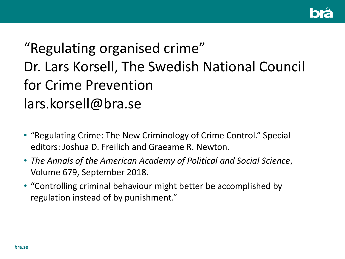

# "Regulating organised crime" Dr. Lars Korsell, The Swedish National Council for Crime Prevention lars.korsell@bra.se

- "Regulating Crime: The New Criminology of Crime Control." Special editors: Joshua D. Freilich and Graeame R. Newton.
- *The Annals of the American Academy of Political and Social Science*, Volume 679, September 2018.
- "Controlling criminal behaviour might better be accomplished by regulation instead of by punishment."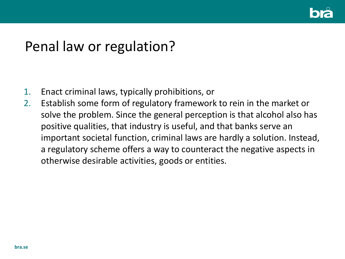

### Penal law or regulation?

- 1. Enact criminal laws, typically prohibitions, or
- 2. Establish some form of regulatory framework to rein in the market or solve the problem. Since the general perception is that alcohol also has positive qualities, that industry is useful, and that banks serve an important societal function, criminal laws are hardly a solution. Instead, a regulatory scheme offers a way to counteract the negative aspects in otherwise desirable activities, goods or entities.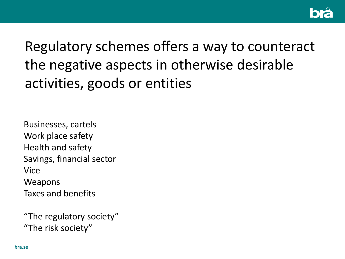

Regulatory schemes offers a way to counteract the negative aspects in otherwise desirable activities, goods or entities

Businesses, cartels Work place safety Health and safety Savings, financial sector Vice **Weapons** Taxes and benefits

"The regulatory society" "The risk society"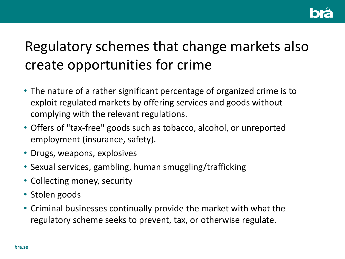

# Regulatory schemes that change markets also create opportunities for crime

- The nature of a rather significant percentage of organized crime is to exploit regulated markets by offering services and goods without complying with the relevant regulations.
- Offers of "tax-free" goods such as tobacco, alcohol, or unreported employment (insurance, safety).
- Drugs, weapons, explosives
- Sexual services, gambling, human smuggling/trafficking
- Collecting money, security
- Stolen goods
- Criminal businesses continually provide the market with what the regulatory scheme seeks to prevent, tax, or otherwise regulate.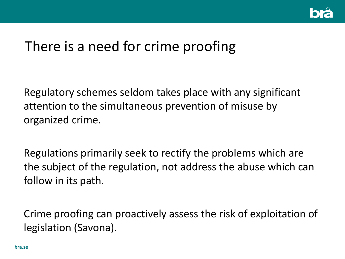

# There is a need for crime proofing

Regulatory schemes seldom takes place with any significant attention to the simultaneous prevention of misuse by organized crime.

Regulations primarily seek to rectify the problems which are the subject of the regulation, not address the abuse which can follow in its path.

Crime proofing can proactively assess the risk of exploitation of legislation (Savona).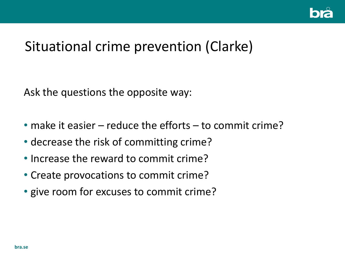

## Situational crime prevention (Clarke)

Ask the questions the opposite way:

- make it easier reduce the efforts to commit crime?
- decrease the risk of committing crime?
- Increase the reward to commit crime?
- Create provocations to commit crime?
- give room for excuses to commit crime?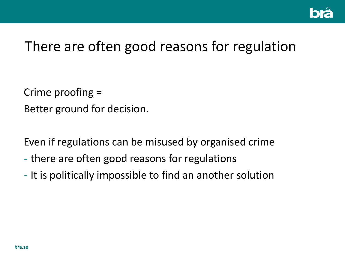

# There are often good reasons for regulation

Crime proofing = Better ground for decision.

Even if regulations can be misused by organised crime

- there are often good reasons for regulations
- It is politically impossible to find an another solution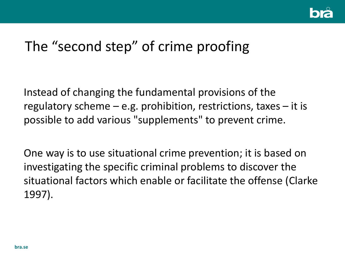

# The "second step" of crime proofing

Instead of changing the fundamental provisions of the regulatory scheme  $-$  e.g. prohibition, restrictions, taxes  $-$  it is possible to add various "supplements" to prevent crime.

One way is to use situational crime prevention; it is based on investigating the specific criminal problems to discover the situational factors which enable or facilitate the offense (Clarke 1997).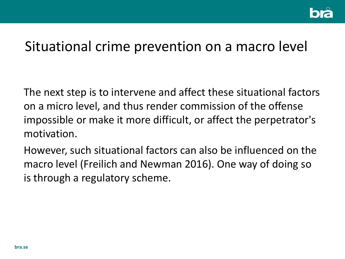

#### Situational crime prevention on a macro level

The next step is to intervene and affect these situational factors on a micro level, and thus render commission of the offense impossible or make it more difficult, or affect the perpetrator's motivation.

However, such situational factors can also be influenced on the macro level (Freilich and Newman 2016). One way of doing so is through a regulatory scheme.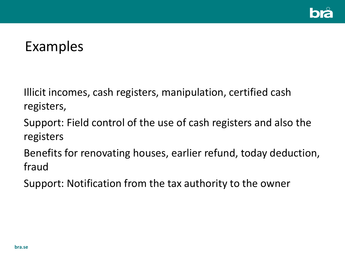

## Examples

Illicit incomes, cash registers, manipulation, certified cash registers,

Support: Field control of the use of cash registers and also the registers

Benefits for renovating houses, earlier refund, today deduction, fraud

Support: Notification from the tax authority to the owner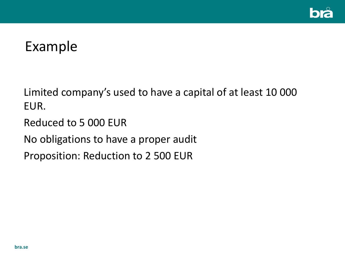

## Example

Limited company's used to have a capital of at least 10 000 EUR.

Reduced to 5 000 EUR

No obligations to have a proper audit

Proposition: Reduction to 2 500 EUR